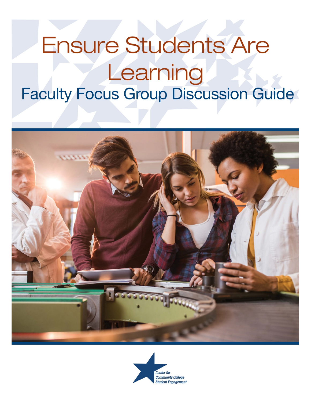

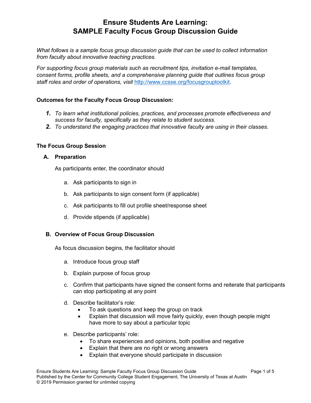*What follows is a sample focus group discussion guide that can be used to collect information from faculty about innovative teaching practices.* 

*For supporting focus group materials such as recruitment tips, invitation e-mail templates, consent forms, profile sheets, and a comprehensive planning guide that outlines focus group staff roles and order of operations, visit* [http://www.ccsse.org/focusgrouptoolkit.](http://www.ccsse.org/focusgrouptoolkit)

## **Outcomes for the Faculty Focus Group Discussion:**

- *1. To learn what institutional policies, practices, and processes promote effectiveness and success for faculty, specifically as they relate to student success.*
- *2. To understand the engaging practices that innovative faculty are using in their classes.*

#### **The Focus Group Session**

#### **A. Preparation**

As participants enter, the coordinator should

- a. Ask participants to sign in
- b. Ask participants to sign consent form (if applicable)
- c. Ask participants to fill out profile sheet/response sheet
- d. Provide stipends (if applicable)

#### **B. Overview of Focus Group Discussion**

As focus discussion begins, the facilitator should

- a. Introduce focus group staff
- b. Explain purpose of focus group
- c. Confirm that participants have signed the consent forms and reiterate that participants can stop participating at any point
- d. Describe facilitator's role:
	- To ask questions and keep the group on track
	- Explain that discussion will move fairly quickly, even though people might have more to say about a particular topic
- e. Describe participants' role:
	- To share experiences and opinions, both positive and negative
	- Explain that there are no right or wrong answers
	- Explain that everyone should participate in discussion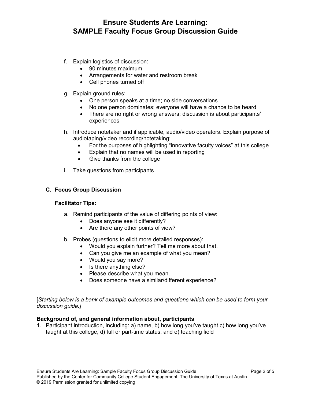- f. Explain logistics of discussion:
	- 90 minutes maximum
	- Arrangements for water and restroom break
	- Cell phones turned off
- g. Explain ground rules:
	- One person speaks at a time; no side conversations
	- No one person dominates; everyone will have a chance to be heard
	- There are no right or wrong answers; discussion is about participants' experiences
- h. Introduce notetaker and if applicable, audio/video operators. Explain purpose of audiotaping/video recording/notetaking:
	- For the purposes of highlighting "innovative faculty voices" at this college
	- Explain that no names will be used in reporting
	- Give thanks from the college
- i. Take questions from participants

## **C. Focus Group Discussion**

#### **Facilitator Tips:**

- a. Remind participants of the value of differing points of view:
	- Does anyone see it differently?
	- Are there any other points of view?
- b. Probes (questions to elicit more detailed responses):
	- Would you explain further? Tell me more about that.
	- Can you give me an example of what you mean?
	- Would you say more?
	- Is there anything else?
	- Please describe what you mean.
	- Does someone have a similar/different experience?

[*Starting below is a bank of example outcomes and questions which can be used to form your discussion guide.]*

#### **Background of, and general information about, participants**

1. Participant introduction, including: a) name, b) how long you've taught c) how long you've taught at this college, d) full or part-time status, and e) teaching field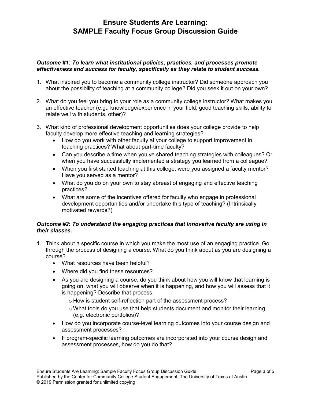#### *Outcome #1: To learn what institutional policies, practices, and processes promote effectiveness and success for faculty, specifically as they relate to student success.*

- 1. What inspired you to become a community college instructor? Did someone approach you about the possibility of teaching at a community college? Did you seek it out on your own?
- 2. What do you feel you bring to your role as a community college instructor? What makes you an effective teacher (e.g., knowledge/experience in your field, good teaching skills, ability to relate well with students, other)?
- 3. What kind of professional development opportunities does your college provide to help faculty develop more effective teaching and learning strategies?
	- How do you work with other faculty at your college to support improvement in teaching practices? What about part-time faculty?
	- Can you describe a time when you've shared teaching strategies with colleagues? Or when you have successfully implemented a strategy you learned from a colleague?
	- When you first started teaching at this college, were you assigned a faculty mentor? Have you served as a mentor?
	- What do you do on your own to stay abreast of engaging and effective teaching practices?
	- What are some of the incentives offered for faculty who engage in professional development opportunities and/or undertake this type of teaching? (Intrinsically motivated rewards?)

## *Outcome #2: To understand the engaging practices that innovative faculty are using in their classes.*

- 1. Think about a specific course in which you make the most use of an engaging practice. Go through the process of designing a course. What do you think about as you are designing a course?
	- What resources have been helpful?
	- Where did you find these resources?
	- As you are designing a course, do you think about how you will know that learning is going on, what you will observe when it is happening, and how you will assess that it is happening? Describe that process.
		- o How is student self-reflection part of the assessment process?
		- $\circ$  What tools do you use that help students document and monitor their learning (e.g. electronic portfolios)?
	- How do you incorporate course-level learning outcomes into your course design and assessment processes?
	- If program-specific learning outcomes are incorporated into your course design and assessment processes, how do you do that?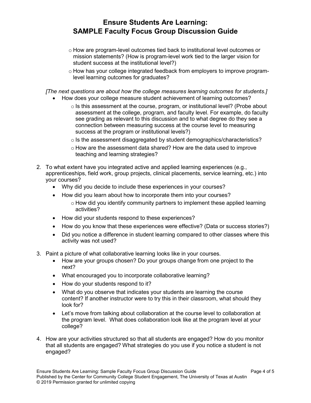- o How are program-level outcomes tied back to institutional level outcomes or mission statements? (How is program-level work tied to the larger vision for student success at the institutional level?)
- o How has your college integrated feedback from employers to improve programlevel learning outcomes for graduates?

*[The next questions are about how the college measures learning outcomes for students.]*

- How does your college measure student achievement of learning outcomes?
	- $\circ$  Is this assessment at the course, program, or institutional level? (Probe about assessment at the college, program, and faculty level. For example, do faculty see grading as relevant to this discussion and to what degree do they see a connection between measuring success at the course level to measuring success at the program or institutional levels?)
	- o Is the assessment disaggregated by student demographics/characteristics?
	- o How are the assessment data shared? How are the data used to improve teaching and learning strategies?
- 2. To what extent have you integrated active and applied learning experiences (e.g., apprenticeships, field work, group projects, clinical placements, service learning, etc.) into your courses?
	- Why did you decide to include these experiences in your courses?
	- How did you learn about how to incorporate them into your courses?
		- $\circ$  How did you identify community partners to implement these applied learning activities?
	- How did your students respond to these experiences?
	- How do you know that these experiences were effective? (Data or success stories?)
	- Did you notice a difference in student learning compared to other classes where this activity was not used?
- 3. Paint a picture of what collaborative learning looks like in your courses.
	- How are your groups chosen? Do your groups change from one project to the next?
	- What encouraged you to incorporate collaborative learning?
	- How do your students respond to it?
	- What do you observe that indicates your students are learning the course content? If another instructor were to try this in their classroom, what should they look for?
	- Let's move from talking about collaboration at the course level to collaboration at the program level. What does collaboration look like at the program level at your college?
- 4. How are your activities structured so that all students are engaged? How do you monitor that all students are engaged? What strategies do you use if you notice a student is not engaged?